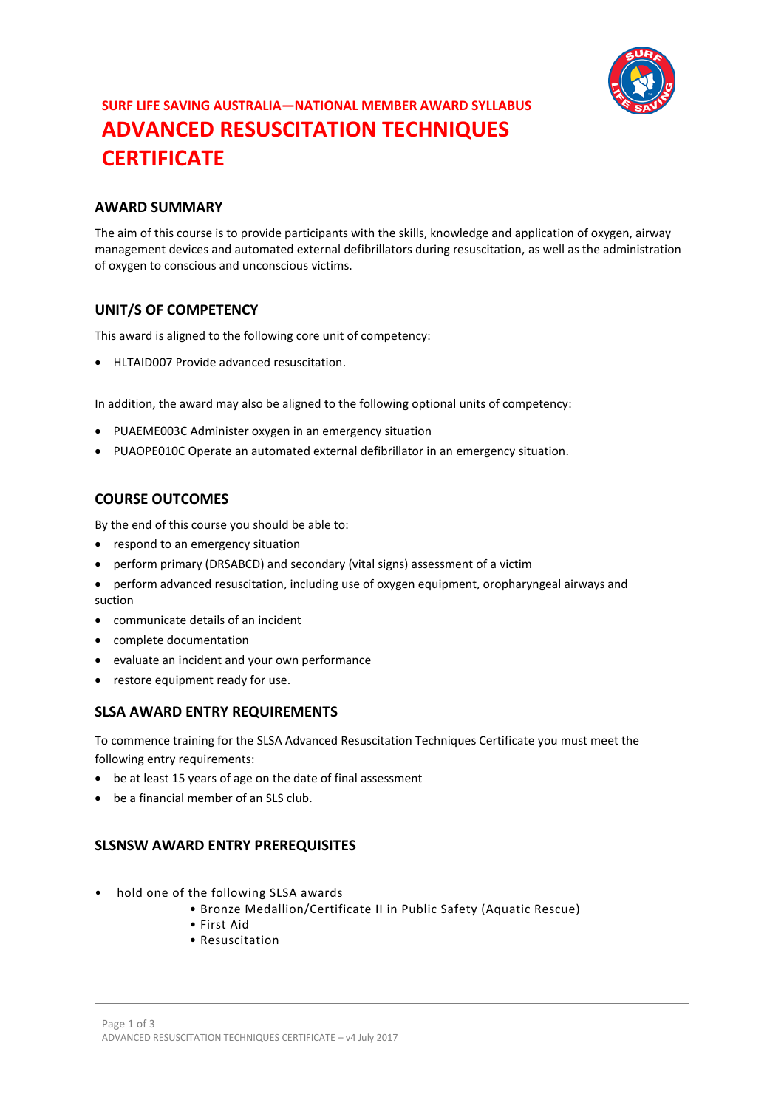

## **SURF LIFE SAVING AUSTRALIA—NATIONAL MEMBER AWARD SYLLABUS ADVANCED RESUSCITATION TECHNIQUES CERTIFICATE**

## **AWARD SUMMARY**

The aim of this course is to provide participants with the skills, knowledge and application of oxygen, airway management devices and automated external defibrillators during resuscitation, as well as the administration of oxygen to conscious and unconscious victims.

## **UNIT/S OF COMPETENCY**

This award is aligned to the following core unit of competency:

• HLTAID007 Provide advanced resuscitation.

In addition, the award may also be aligned to the following optional units of competency:

- PUAEME003C Administer oxygen in an emergency situation
- PUAOPE010C Operate an automated external defibrillator in an emergency situation.

## **COURSE OUTCOMES**

By the end of this course you should be able to:

- respond to an emergency situation
- perform primary (DRSABCD) and secondary (vital signs) assessment of a victim
- perform advanced resuscitation, including use of oxygen equipment, oropharyngeal airways and suction
- communicate details of an incident
- complete documentation
- evaluate an incident and your own performance
- restore equipment ready for use.

#### **SLSA AWARD ENTRY REQUIREMENTS**

To commence training for the SLSA Advanced Resuscitation Techniques Certificate you must meet the following entry requirements:

- be at least 15 years of age on the date of final assessment
- be a financial member of an SLS club.

## **SLSNSW AWARD ENTRY PREREQUISITES**

- hold one of the following SLSA awards
	- Bronze Medallion/Certificate II in Public Safety (Aquatic Rescue)
	- First Aid
	- Resuscitation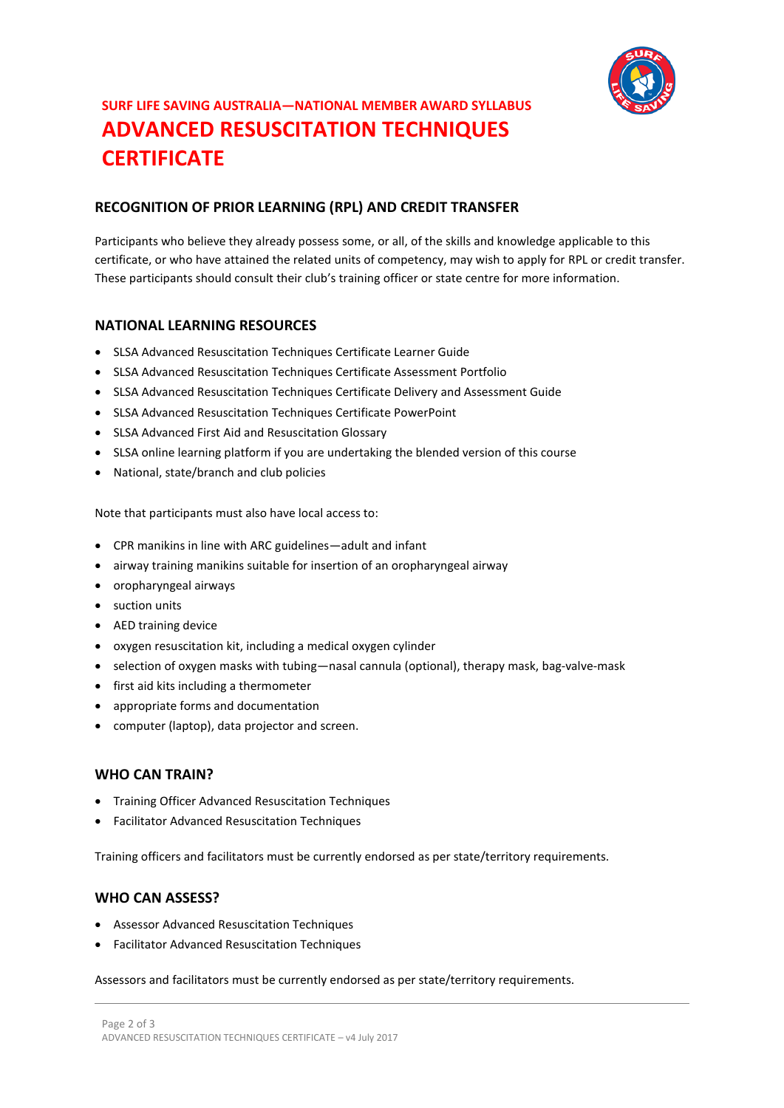

# **SURF LIFE SAVING AUSTRALIA—NATIONAL MEMBER AWARD SYLLABUS ADVANCED RESUSCITATION TECHNIQUES CERTIFICATE**

## **RECOGNITION OF PRIOR LEARNING (RPL) AND CREDIT TRANSFER**

Participants who believe they already possess some, or all, of the skills and knowledge applicable to this certificate, or who have attained the related units of competency, may wish to apply for RPL or credit transfer. These participants should consult their club's training officer or state centre for more information.

## **NATIONAL LEARNING RESOURCES**

- SLSA Advanced Resuscitation Techniques Certificate Learner Guide
- SLSA Advanced Resuscitation Techniques Certificate Assessment Portfolio
- SLSA Advanced Resuscitation Techniques Certificate Delivery and Assessment Guide
- SLSA Advanced Resuscitation Techniques Certificate PowerPoint
- SLSA Advanced First Aid and Resuscitation Glossary
- SLSA online learning platform if you are undertaking the blended version of this course
- National, state/branch and club policies

Note that participants must also have local access to:

- CPR manikins in line with ARC guidelines—adult and infant
- airway training manikins suitable for insertion of an oropharyngeal airway
- oropharyngeal airways
- suction units
- AED training device
- oxygen resuscitation kit, including a medical oxygen cylinder
- selection of oxygen masks with tubing—nasal cannula (optional), therapy mask, bag-valve-mask
- first aid kits including a thermometer
- appropriate forms and documentation
- computer (laptop), data projector and screen.

#### **WHO CAN TRAIN?**

- Training Officer Advanced Resuscitation Techniques
- Facilitator Advanced Resuscitation Techniques

Training officers and facilitators must be currently endorsed as per state/territory requirements.

#### **WHO CAN ASSESS?**

- Assessor Advanced Resuscitation Techniques
- Facilitator Advanced Resuscitation Techniques

Assessors and facilitators must be currently endorsed as per state/territory requirements.